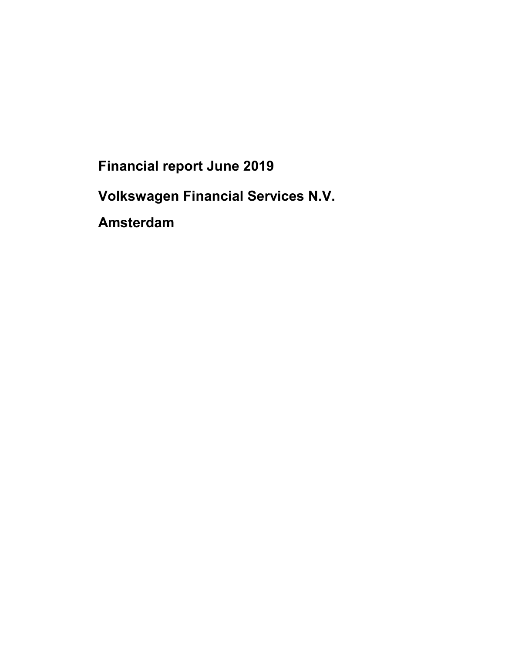Financial report June 2019

Volkswagen Financial Services N.V.

Amsterdam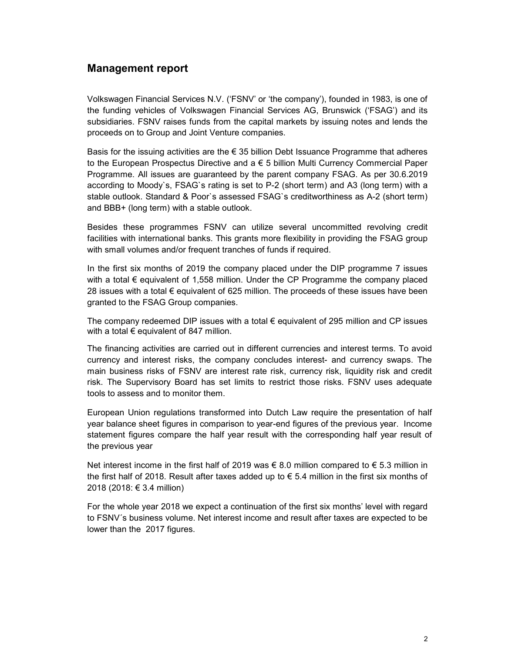# Management report

Volkswagen Financial Services N.V. ('FSNV' or 'the company'), founded in 1983, is one of the funding vehicles of Volkswagen Financial Services AG, Brunswick ('FSAG') and its subsidiaries. FSNV raises funds from the capital markets by issuing notes and lends the proceeds on to Group and Joint Venture companies.

Basis for the issuing activities are the  $\epsilon$  35 billion Debt Issuance Programme that adheres to the European Prospectus Directive and a € 5 billion Multi Currency Commercial Paper Programme. All issues are guaranteed by the parent company FSAG. As per 30.6.2019 according to Moody`s, FSAG`s rating is set to P-2 (short term) and A3 (long term) with a stable outlook. Standard & Poor`s assessed FSAG`s creditworthiness as A-2 (short term) and BBB+ (long term) with a stable outlook.

Besides these programmes FSNV can utilize several uncommitted revolving credit facilities with international banks. This grants more flexibility in providing the FSAG group with small volumes and/or frequent tranches of funds if required.

In the first six months of 2019 the company placed under the DIP programme 7 issues with a total € equivalent of 1,558 million. Under the CP Programme the company placed 28 issues with a total € equivalent of 625 million. The proceeds of these issues have been granted to the FSAG Group companies.

The company redeemed DIP issues with a total  $\epsilon$  equivalent of 295 million and CP issues with a total  $\epsilon$  equivalent of 847 million.

The financing activities are carried out in different currencies and interest terms. To avoid currency and interest risks, the company concludes interest- and currency swaps. The main business risks of FSNV are interest rate risk, currency risk, liquidity risk and credit risk. The Supervisory Board has set limits to restrict those risks. FSNV uses adequate tools to assess and to monitor them.

European Union regulations transformed into Dutch Law require the presentation of half year balance sheet figures in comparison to year-end figures of the previous year. Income statement figures compare the half year result with the corresponding half year result of the previous year

Net interest income in the first half of 2019 was € 8.0 million compared to € 5.3 million in the first half of 2018. Result after taxes added up to  $\epsilon$  5.4 million in the first six months of 2018 (2018: € 3.4 million)

For the whole year 2018 we expect a continuation of the first six months' level with regard to FSNV´s business volume. Net interest income and result after taxes are expected to be lower than the 2017 figures.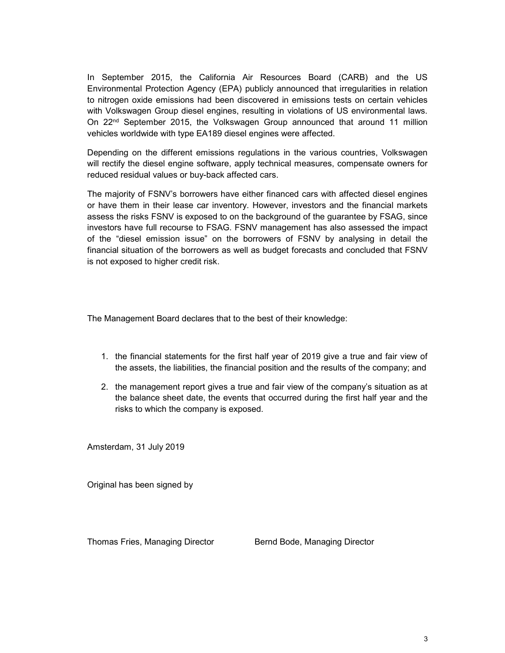In September 2015, the California Air Resources Board (CARB) and the US Environmental Protection Agency (EPA) publicly announced that irregularities in relation to nitrogen oxide emissions had been discovered in emissions tests on certain vehicles with Volkswagen Group diesel engines, resulting in violations of US environmental laws. On 22<sup>nd</sup> September 2015, the Volkswagen Group announced that around 11 million vehicles worldwide with type EA189 diesel engines were affected.

Depending on the different emissions regulations in the various countries, Volkswagen will rectify the diesel engine software, apply technical measures, compensate owners for reduced residual values or buy-back affected cars.

The majority of FSNV's borrowers have either financed cars with affected diesel engines or have them in their lease car inventory. However, investors and the financial markets assess the risks FSNV is exposed to on the background of the guarantee by FSAG, since investors have full recourse to FSAG. FSNV management has also assessed the impact of the "diesel emission issue" on the borrowers of FSNV by analysing in detail the financial situation of the borrowers as well as budget forecasts and concluded that FSNV is not exposed to higher credit risk.

The Management Board declares that to the best of their knowledge:

- 1. the financial statements for the first half year of 2019 give a true and fair view of the assets, the liabilities, the financial position and the results of the company; and
- 2. the management report gives a true and fair view of the company's situation as at the balance sheet date, the events that occurred during the first half year and the risks to which the company is exposed.

Amsterdam, 31 July 2019

Original has been signed by

Thomas Fries, Managing Director Bernd Bode, Managing Director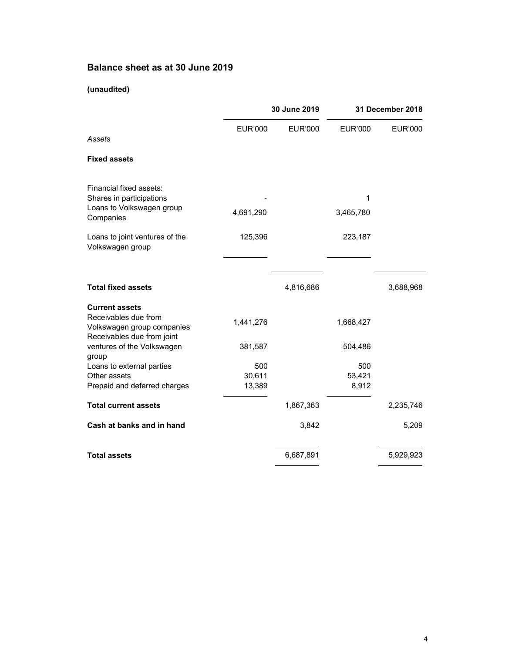# Balance sheet as at 30 June 2019

### (unaudited)

|                                                                             | 30 June 2019            |                | 31 December 2018       |                |
|-----------------------------------------------------------------------------|-------------------------|----------------|------------------------|----------------|
| Assets                                                                      | <b>EUR'000</b>          | <b>EUR'000</b> | <b>EUR'000</b>         | <b>EUR'000</b> |
| <b>Fixed assets</b>                                                         |                         |                |                        |                |
| Financial fixed assets:                                                     |                         |                | 1                      |                |
| Shares in participations<br>Loans to Volkswagen group<br>Companies          | 4,691,290               |                | 3,465,780              |                |
| Loans to joint ventures of the<br>Volkswagen group                          | 125,396                 |                | 223,187                |                |
| <b>Total fixed assets</b>                                                   |                         | 4,816,686      |                        | 3,688,968      |
| <b>Current assets</b><br>Receivables due from<br>Volkswagen group companies | 1,441,276               |                | 1,668,427              |                |
| Receivables due from joint<br>ventures of the Volkswagen<br>group           | 381,587                 |                | 504,486                |                |
| Loans to external parties<br>Other assets<br>Prepaid and deferred charges   | 500<br>30,611<br>13,389 |                | 500<br>53,421<br>8,912 |                |
| <b>Total current assets</b>                                                 |                         | 1,867,363      |                        | 2,235,746      |
| Cash at banks and in hand                                                   |                         | 3,842          |                        | 5,209          |
| <b>Total assets</b>                                                         |                         | 6,687,891      |                        | 5,929,923      |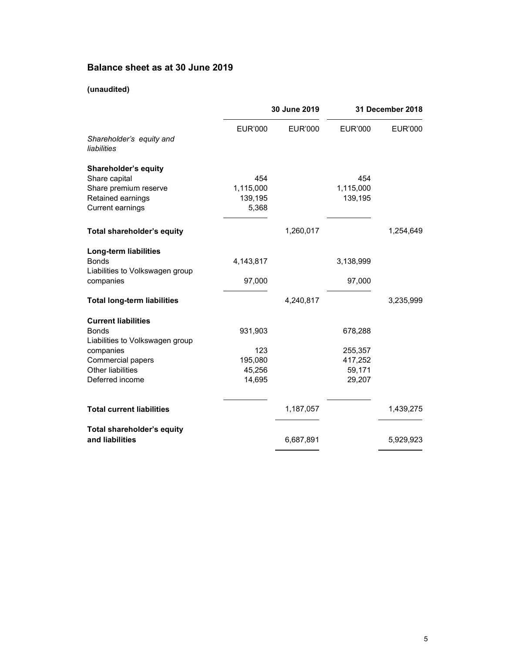# Balance sheet as at 30 June 2019

### (unaudited)

|                                                      | 30 June 2019     |                | 31 December 2018 |                |
|------------------------------------------------------|------------------|----------------|------------------|----------------|
| Shareholder's equity and<br>liabilities              | <b>EUR'000</b>   | <b>EUR'000</b> | <b>EUR'000</b>   | <b>EUR'000</b> |
| Shareholder's equity                                 | 454              |                | 454              |                |
| Share capital<br>Share premium reserve               | 1,115,000        |                | 1,115,000        |                |
| Retained earnings                                    | 139,195          |                | 139,195          |                |
| <b>Current earnings</b>                              | 5,368            |                |                  |                |
| Total shareholder's equity                           |                  | 1,260,017      |                  | 1,254,649      |
| <b>Long-term liabilities</b>                         |                  |                |                  |                |
| <b>Bonds</b>                                         | 4,143,817        |                | 3,138,999        |                |
| Liabilities to Volkswagen group                      |                  |                |                  |                |
| companies                                            | 97,000           |                | 97,000           |                |
| <b>Total long-term liabilities</b>                   |                  | 4,240,817      |                  | 3,235,999      |
| <b>Current liabilities</b>                           |                  |                |                  |                |
| <b>Bonds</b>                                         | 931,903          |                | 678,288          |                |
| Liabilities to Volkswagen group                      |                  |                |                  |                |
| companies                                            | 123              |                | 255,357          |                |
| Commercial papers                                    | 195,080          |                | 417,252          |                |
| Other liabilities<br>Deferred income                 | 45,256<br>14,695 |                | 59,171<br>29,207 |                |
|                                                      |                  |                |                  |                |
| <b>Total current liabilities</b>                     |                  | 1,187,057      |                  | 1,439,275      |
| <b>Total shareholder's equity</b><br>and liabilities |                  | 6,687,891      |                  | 5,929,923      |